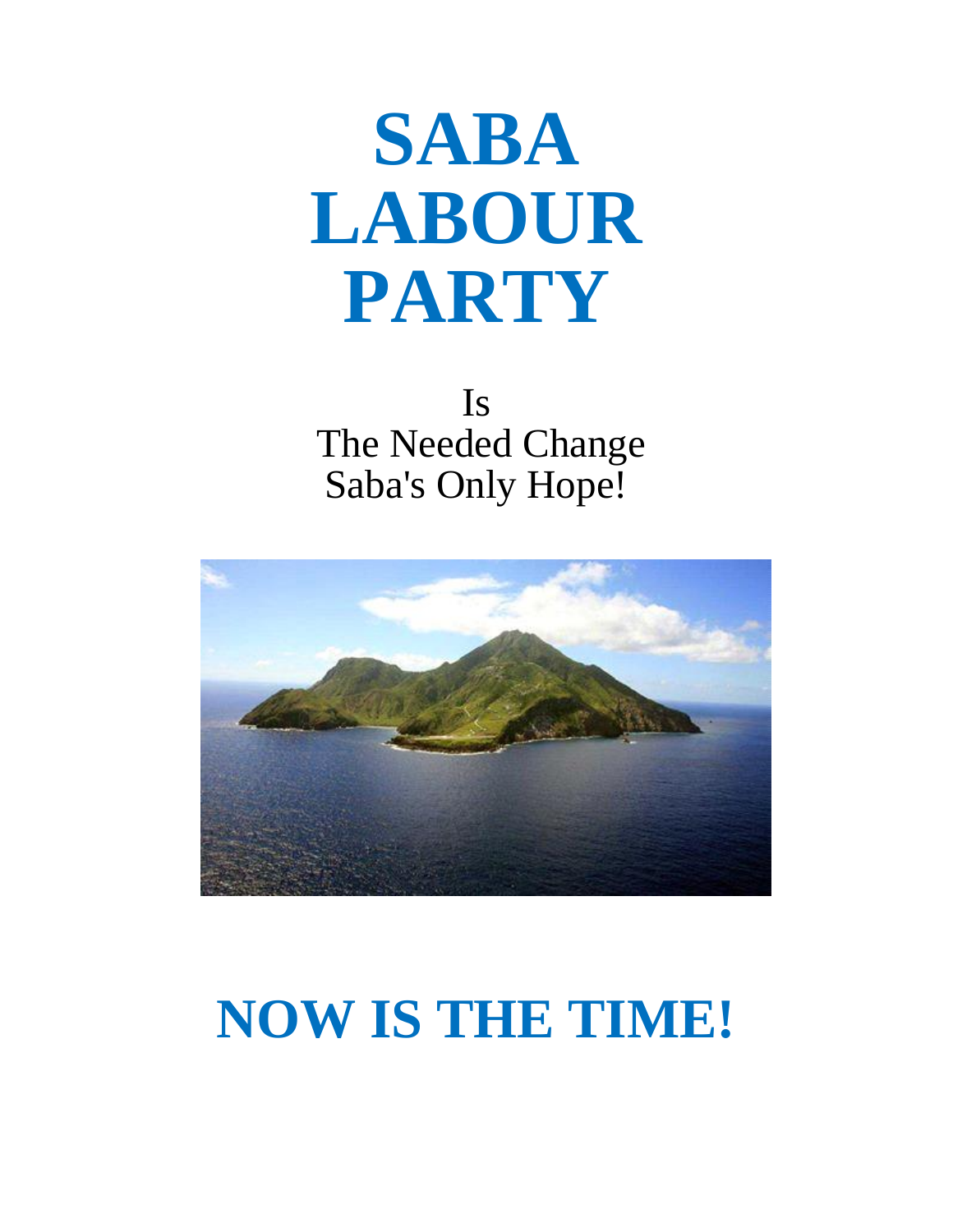# **SABA LABOUR PARTY**

Is The Needed Change Saba's Only Hope!



## **NOW IS THE TIME!**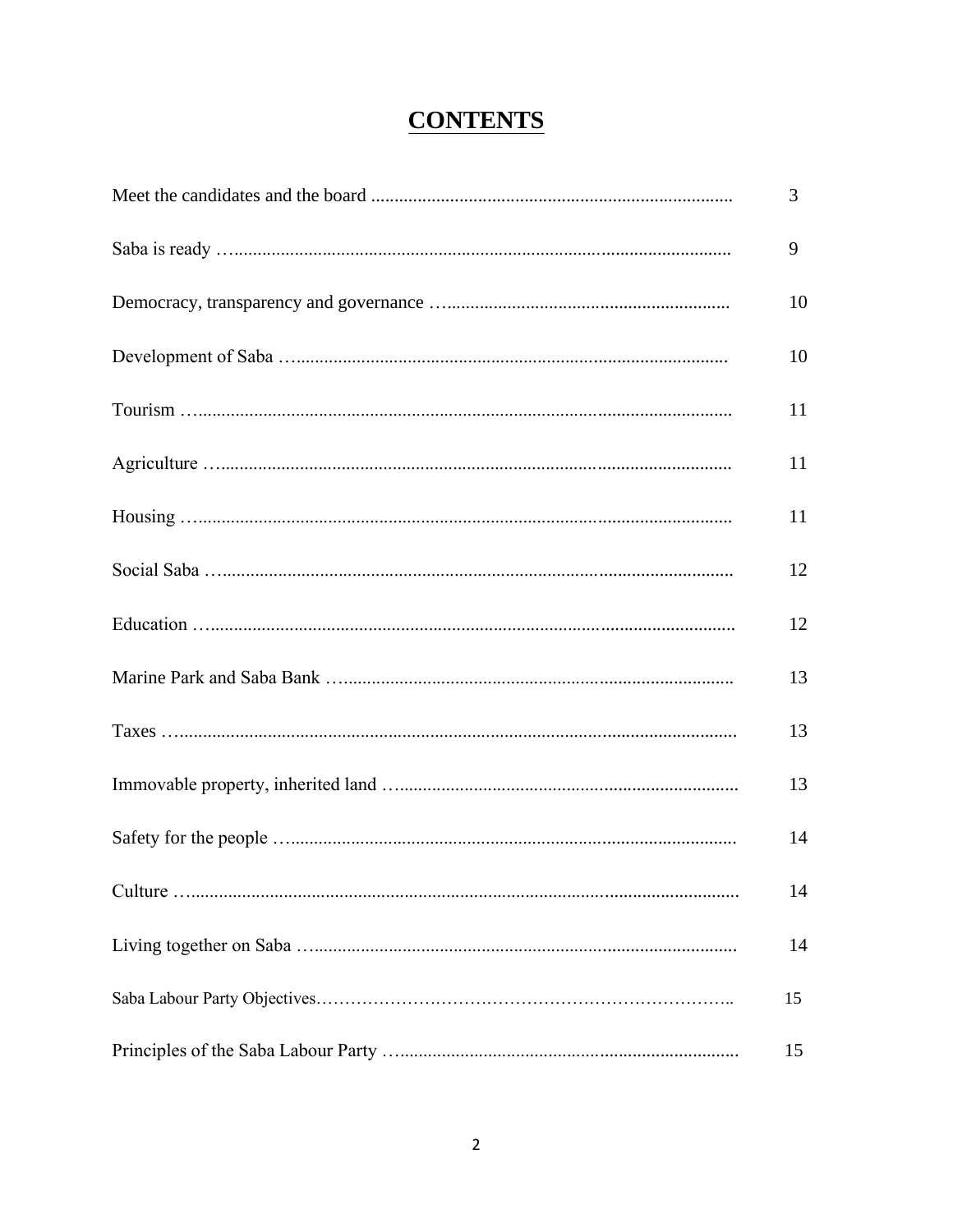## **CONTENTS**

| 3  |
|----|
| 9  |
| 10 |
| 10 |
| 11 |
| 11 |
| 11 |
| 12 |
| 12 |
| 13 |
| 13 |
| 13 |
| 14 |
| 14 |
| 14 |
| 15 |
| 15 |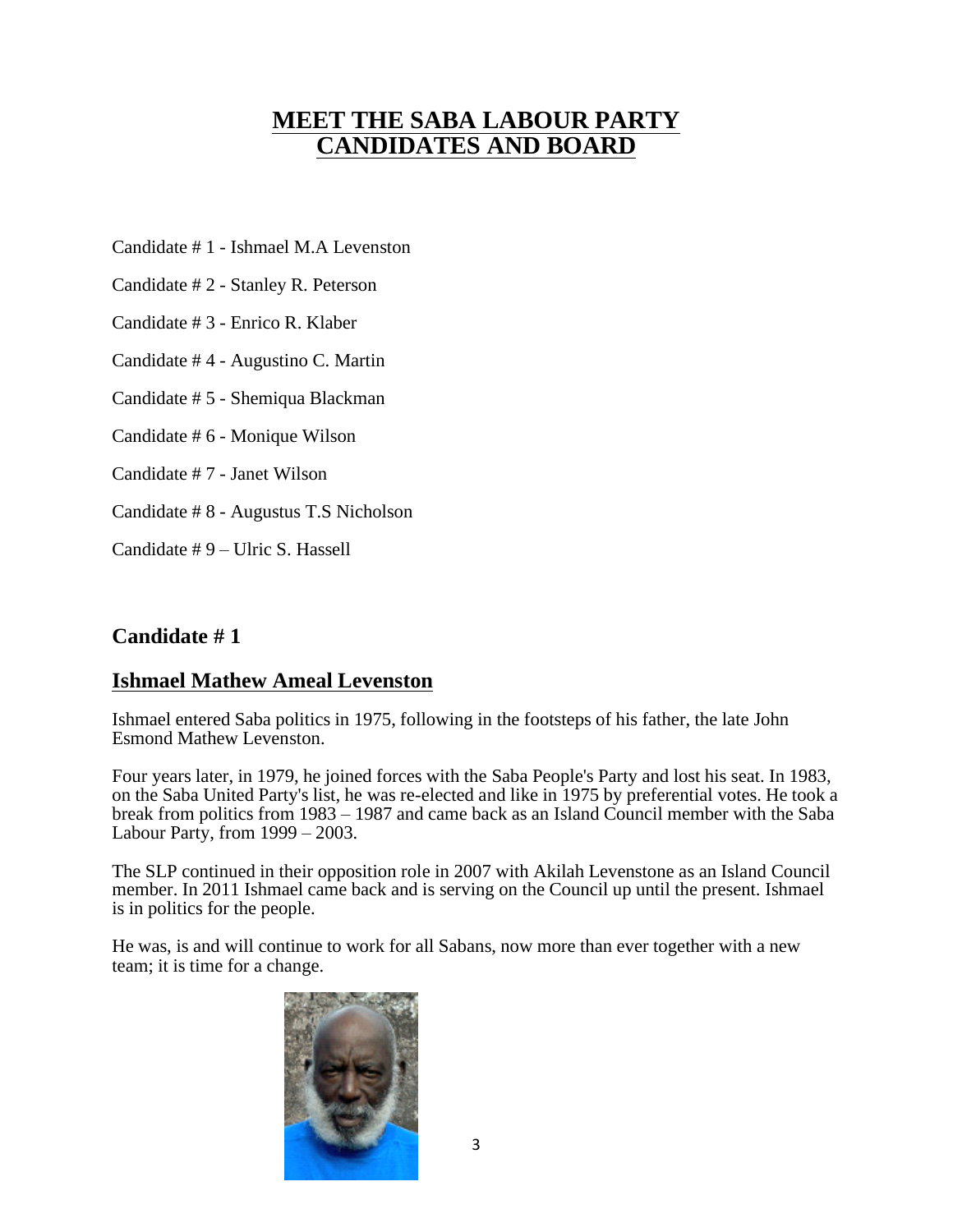## **MEET THE SABA LABOUR PARTY CANDIDATES AND BOARD**

Candidate # 1 - Ishmael M.A Levenston

Candidate # 2 - Stanley R. Peterson

Candidate # 3 - Enrico R. Klaber

Candidate # 4 - Augustino C. Martin

Candidate # 5 - Shemiqua Blackman

Candidate # 6 - Monique Wilson

Candidate # 7 - Janet Wilson

Candidate # 8 - Augustus T.S Nicholson

Candidate # 9 – Ulric S. Hassell

#### **Candidate # 1**

#### **Ishmael Mathew Ameal Levenston**

Ishmael entered Saba politics in 1975, following in the footsteps of his father, the late John Esmond Mathew Levenston.

Four years later, in 1979, he joined forces with the Saba People's Party and lost his seat. In 1983, on the Saba United Party's list, he was re-elected and like in 1975 by preferential votes. He took a break from politics from 1983 – 1987 and came back as an Island Council member with the Saba Labour Party, from  $1999 - 2003$ .

The SLP continued in their opposition role in 2007 with Akilah Levenstone as an Island Council member. In 2011 Ishmael came back and is serving on the Council up until the present. Ishmael is in politics for the people.

He was, is and will continue to work for all Sabans, now more than ever together with a new team; it is time for a change.

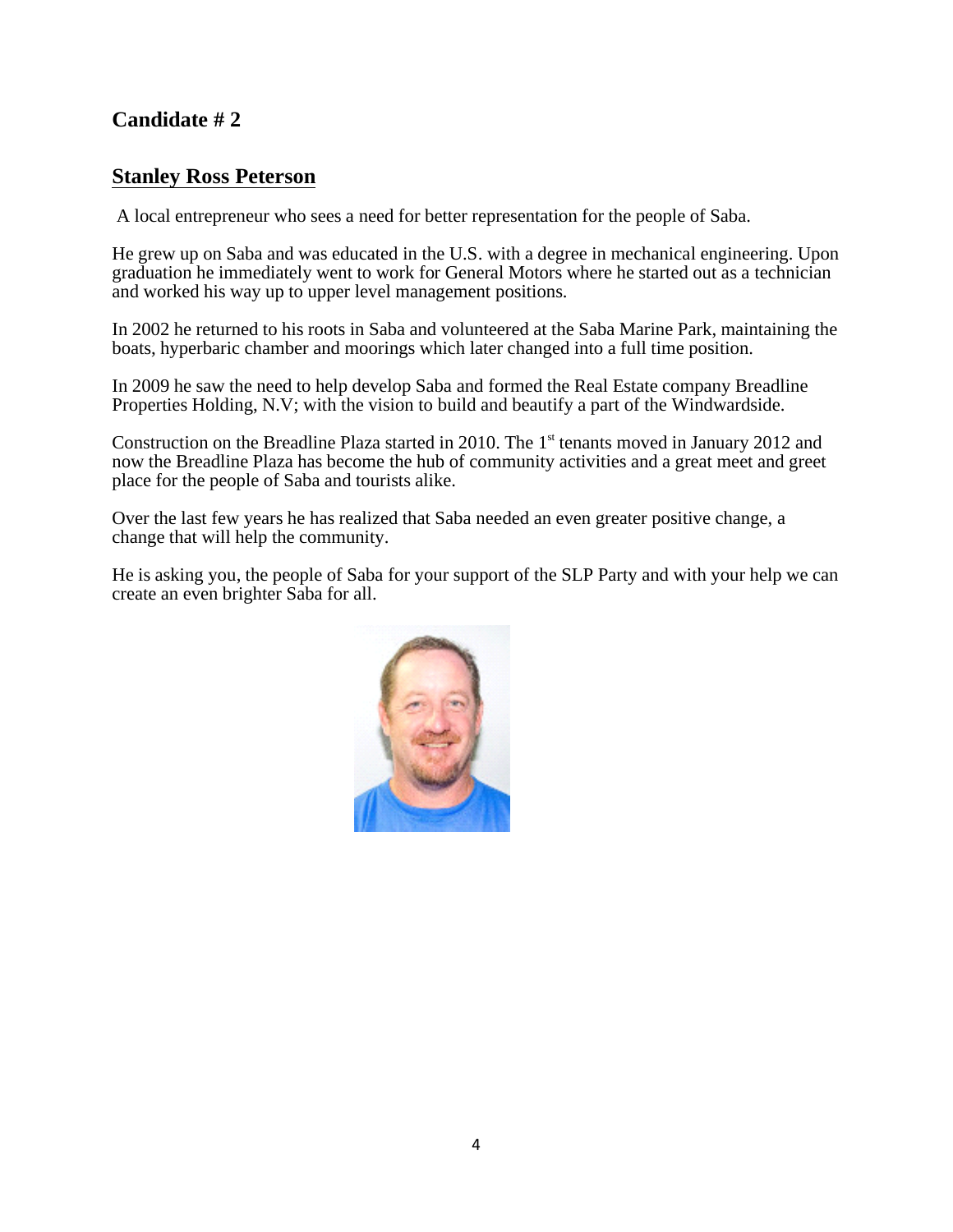#### **Stanley Ross Peterson**

A local entrepreneur who sees a need for better representation for the people of Saba.

He grew up on Saba and was educated in the U.S. with a degree in mechanical engineering. Upon graduation he immediately went to work for General Motors where he started out as a technician and worked his way up to upper level management positions.

In 2002 he returned to his roots in Saba and volunteered at the Saba Marine Park, maintaining the boats, hyperbaric chamber and moorings which later changed into a full time position.

In 2009 he saw the need to help develop Saba and formed the Real Estate company Breadline Properties Holding, N.V; with the vision to build and beautify a part of the Windwardside.

Construction on the Breadline Plaza started in 2010. The 1<sup>st</sup> tenants moved in January 2012 and now the Breadline Plaza has become the hub of community activities and a great meet and greet place for the people of Saba and tourists alike.

Over the last few years he has realized that Saba needed an even greater positive change, a change that will help the community.

He is asking you, the people of Saba for your support of the SLP Party and with your help we can create an even brighter Saba for all.

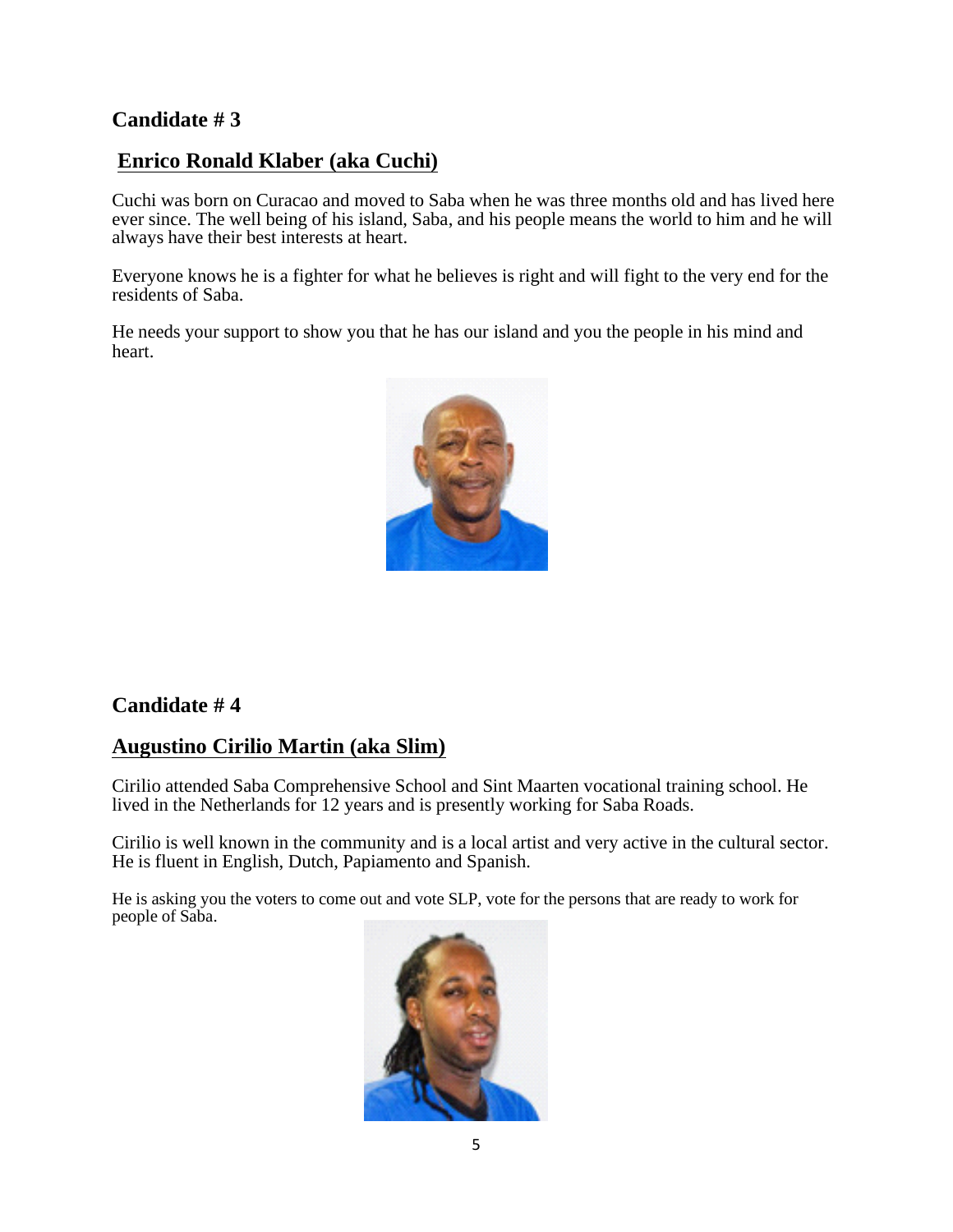## **Enrico Ronald Klaber (aka Cuchi)**

Cuchi was born on Curacao and moved to Saba when he was three months old and has lived here ever since. The well being of his island, Saba, and his people means the world to him and he will always have their best interests at heart.

Everyone knows he is a fighter for what he believes is right and will fight to the very end for the residents of Saba.

He needs your support to show you that he has our island and you the people in his mind and heart.



#### **Candidate # 4**

#### **Augustino Cirilio Martin (aka Slim)**

Cirilio attended Saba Comprehensive School and Sint Maarten vocational training school. He lived in the Netherlands for 12 years and is presently working for Saba Roads.

Cirilio is well known in the community and is a local artist and very active in the cultural sector. He is fluent in English, Dutch, Papiamento and Spanish.

He is asking you the voters to come out and vote SLP, vote for the persons that are ready to work for people of Saba.

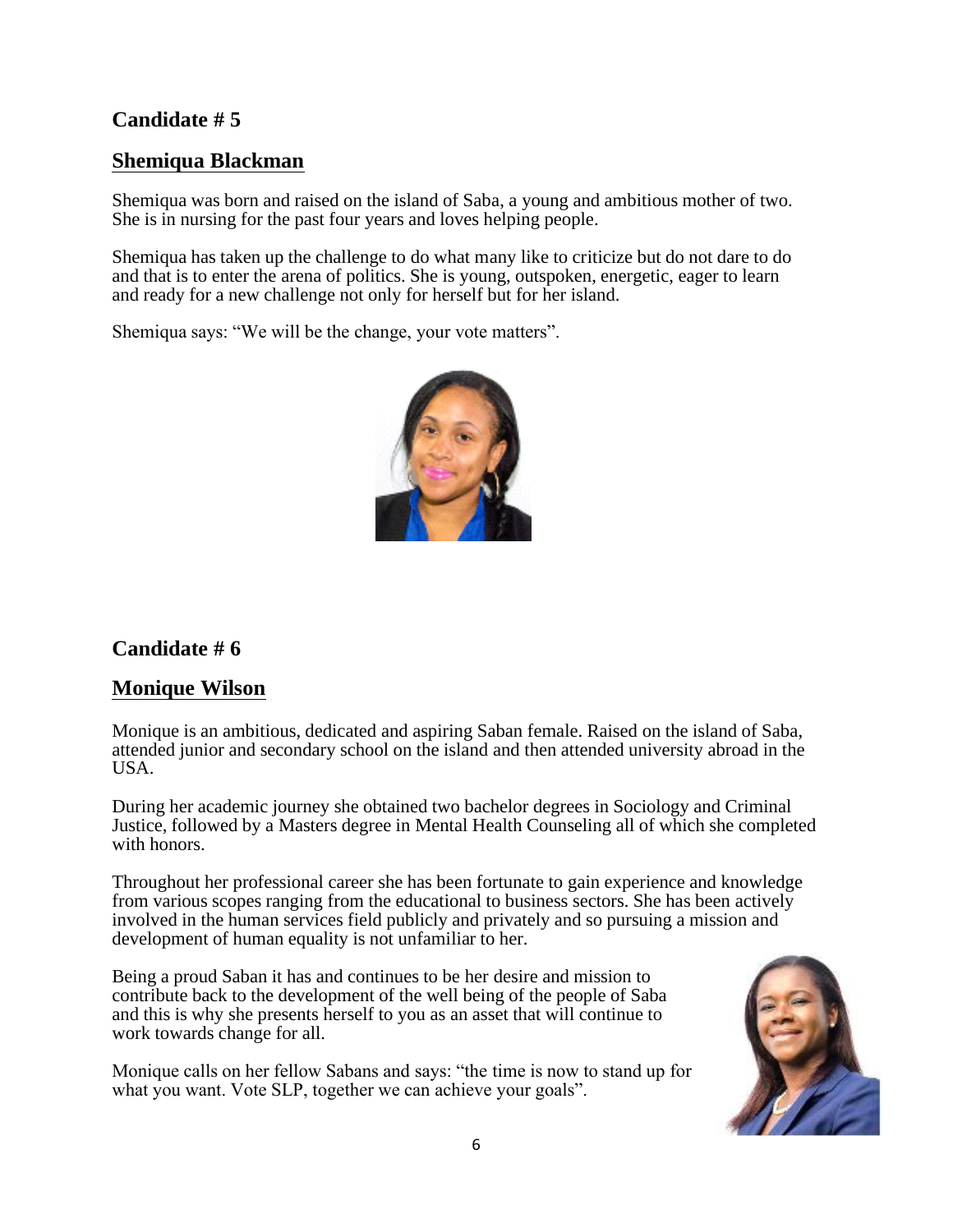## **Shemiqua Blackman**

Shemiqua was born and raised on the island of Saba, a young and ambitious mother of two. She is in nursing for the past four years and loves helping people.

Shemiqua has taken up the challenge to do what many like to criticize but do not dare to do and that is to enter the arena of politics. She is young, outspoken, energetic, eager to learn and ready for a new challenge not only for herself but for her island.

Shemiqua says: "We will be the change, your vote matters".



## **Candidate # 6**

#### **Monique Wilson**

Monique is an ambitious, dedicated and aspiring Saban female. Raised on the island of Saba, attended junior and secondary school on the island and then attended university abroad in the USA.

During her academic journey she obtained two bachelor degrees in Sociology and Criminal Justice, followed by a Masters degree in Mental Health Counseling all of which she completed with honors.

Throughout her professional career she has been fortunate to gain experience and knowledge from various scopes ranging from the educational to business sectors. She has been actively involved in the human services field publicly and privately and so pursuing a mission and development of human equality is not unfamiliar to her.

Being a proud Saban it has and continues to be her desire and mission to contribute back to the development of the well being of the people of Saba and this is why she presents herself to you as an asset that will continue to work towards change for all.

Monique calls on her fellow Sabans and says: "the time is now to stand up for what you want. Vote SLP, together we can achieve your goals".

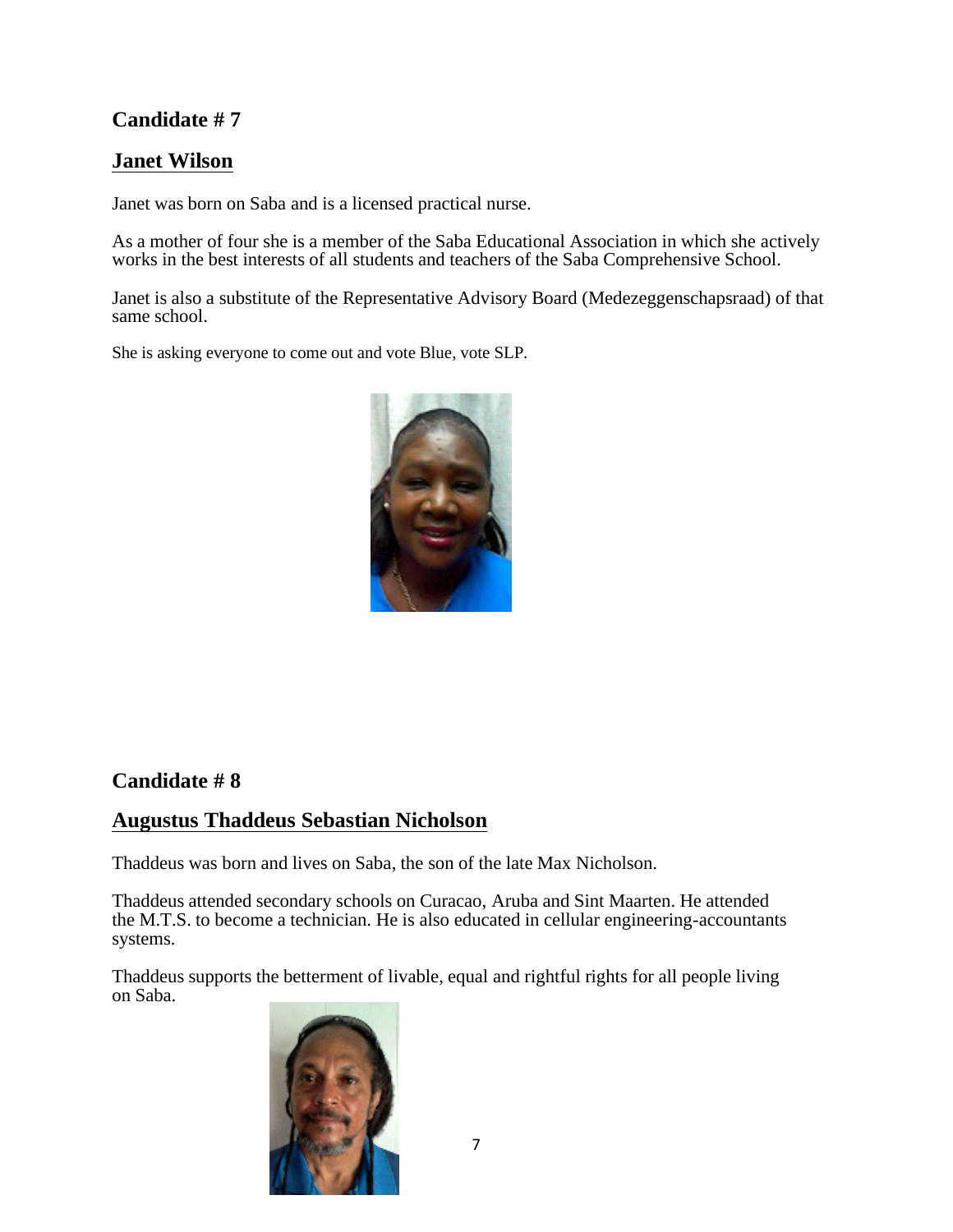## **Janet Wilson**

Janet was born on Saba and is a licensed practical nurse.

As a mother of four she is a member of the Saba Educational Association in which she actively works in the best interests of all students and teachers of the Saba Comprehensive School.

Janet is also a substitute of the Representative Advisory Board (Medezeggenschapsraad) of that same school.

She is asking everyone to come out and vote Blue, vote SLP.



#### **Candidate # 8**

#### **Augustus Thaddeus Sebastian Nicholson**

Thaddeus was born and lives on Saba, the son of the late Max Nicholson.

Thaddeus attended secondary schools on Curacao, Aruba and Sint Maarten. He attended the M.T.S. to become a technician. He is also educated in cellular engineering-accountants systems.

Thaddeus supports the betterment of livable, equal and rightful rights for all people living on Saba.

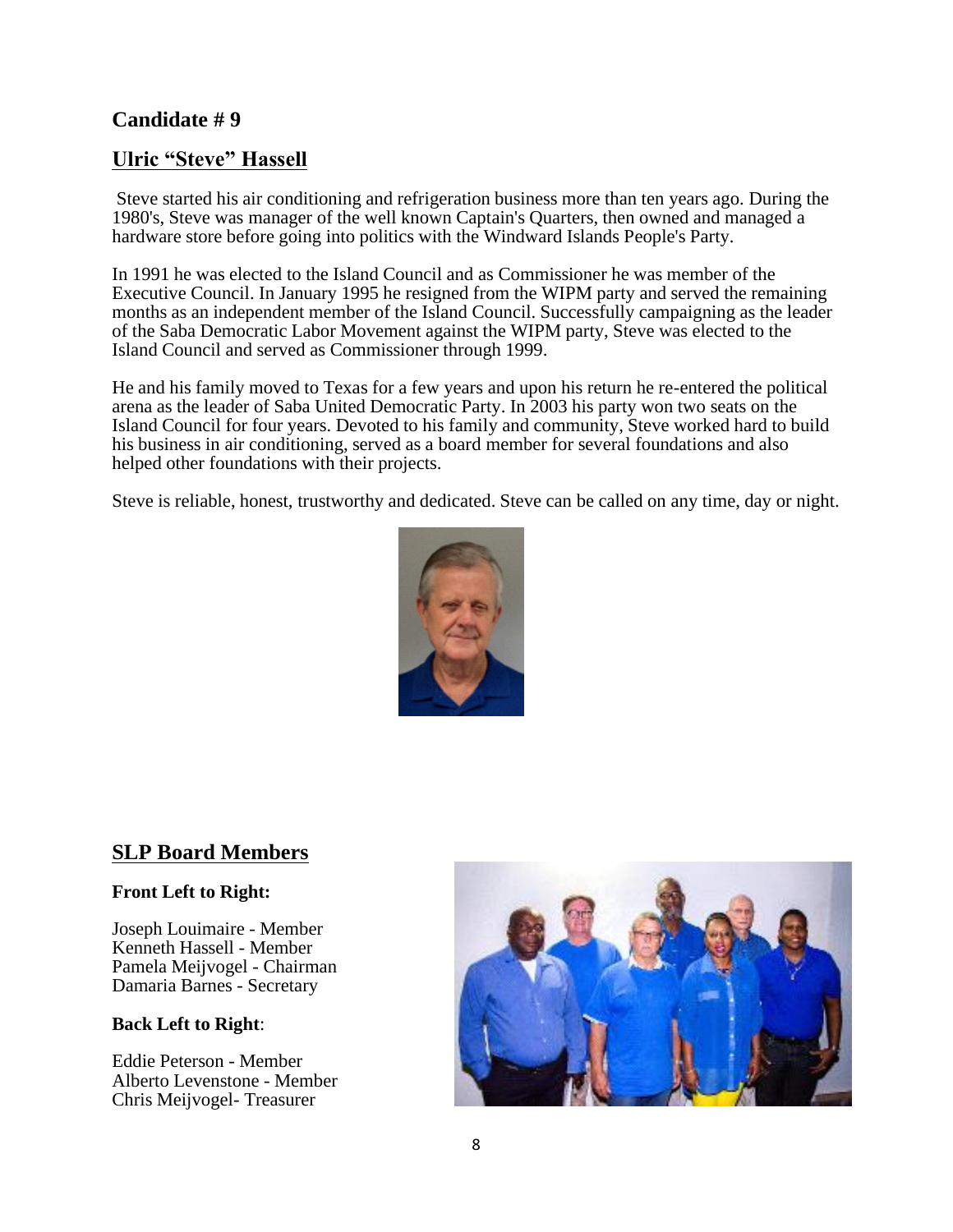#### **Ulric "Steve" Hassell**

Steve started his air conditioning and refrigeration business more than ten years ago. During the 1980's, Steve was manager of the well known Captain's Quarters, then owned and managed a hardware store before going into politics with the Windward Islands People's Party.

In 1991 he was elected to the Island Council and as Commissioner he was member of the Executive Council. In January 1995 he resigned from the WIPM party and served the remaining months as an independent member of the Island Council. Successfully campaigning as the leader of the Saba Democratic Labor Movement against the WIPM party, Steve was elected to the Island Council and served as Commissioner through 1999.

He and his family moved to Texas for a few years and upon his return he re-entered the political arena as the leader of Saba United Democratic Party. In 2003 his party won two seats on the Island Council for four years. Devoted to his family and community, Steve worked hard to build his business in air conditioning, served as a board member for several foundations and also helped other foundations with their projects.

Steve is reliable, honest, trustworthy and dedicated. Steve can be called on any time, day or night.



## **SLP Board Members**

#### **Front Left to Right:**

Joseph Louimaire - Member Kenneth Hassell - Member Pamela Meijvogel - Chairman Damaria Barnes - Secretary

#### **Back Left to Right**:

Eddie Peterson - Member Alberto Levenstone - Member Chris Meijvogel- Treasurer

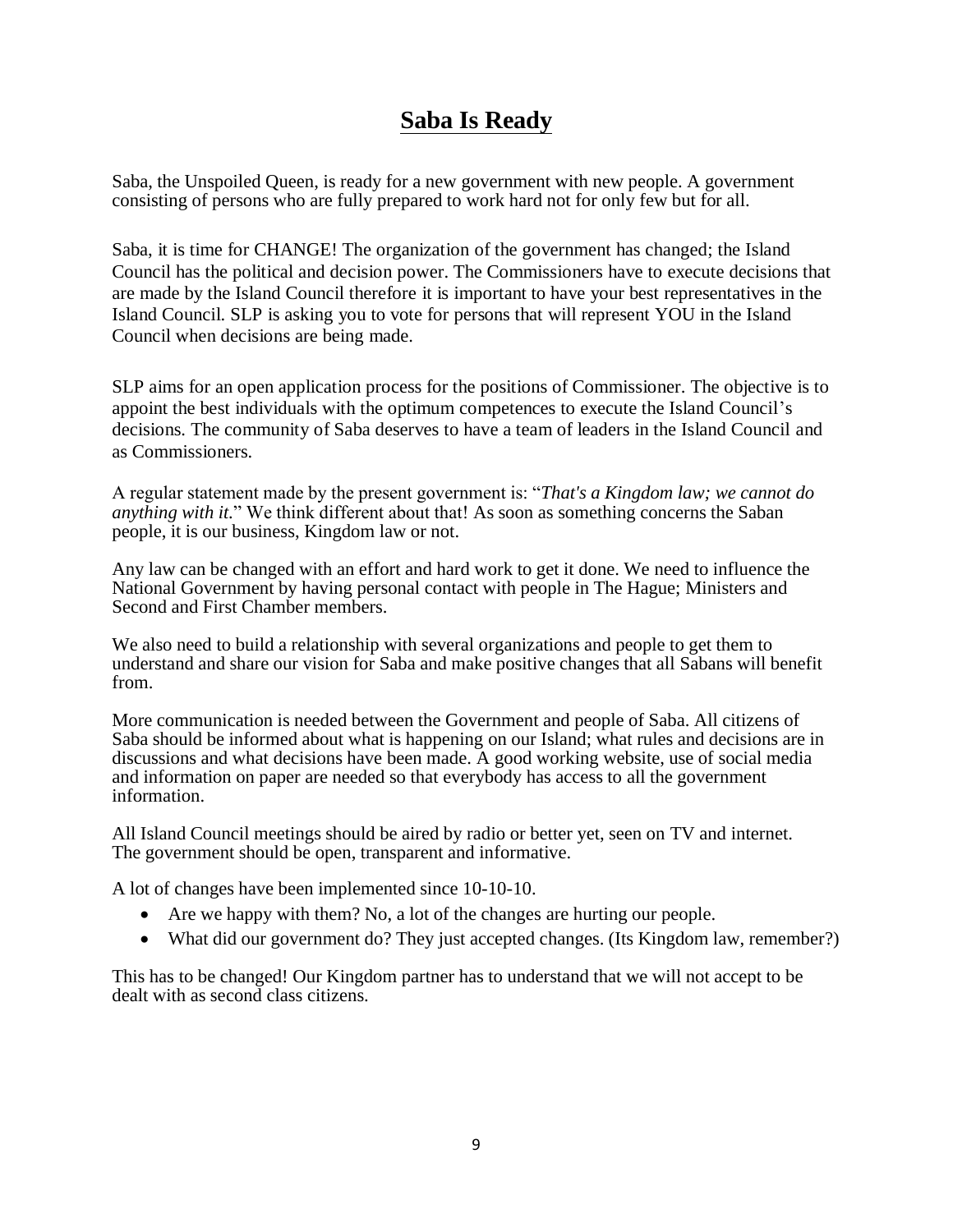## **Saba Is Ready**

Saba, the Unspoiled Queen, is ready for a new government with new people. A government consisting of persons who are fully prepared to work hard not for only few but for all.

Saba, it is time for CHANGE! The organization of the government has changed; the Island Council has the political and decision power. The Commissioners have to execute decisions that are made by the Island Council therefore it is important to have your best representatives in the Island Council. SLP is asking you to vote for persons that will represent YOU in the Island Council when decisions are being made.

SLP aims for an open application process for the positions of Commissioner. The objective is to appoint the best individuals with the optimum competences to execute the Island Council's decisions. The community of Saba deserves to have a team of leaders in the Island Council and as Commissioners.

A regular statement made by the present government is: "*That's a Kingdom law; we cannot do anything with it.*" We think different about that! As soon as something concerns the Saban people, it is our business, Kingdom law or not.

Any law can be changed with an effort and hard work to get it done. We need to influence the National Government by having personal contact with people in The Hague; Ministers and Second and First Chamber members.

We also need to build a relationship with several organizations and people to get them to understand and share our vision for Saba and make positive changes that all Sabans will benefit from.

More communication is needed between the Government and people of Saba. All citizens of Saba should be informed about what is happening on our Island; what rules and decisions are in discussions and what decisions have been made. A good working website, use of social media and information on paper are needed so that everybody has access to all the government information.

All Island Council meetings should be aired by radio or better yet, seen on TV and internet. The government should be open, transparent and informative.

A lot of changes have been implemented since 10-10-10.

- Are we happy with them? No, a lot of the changes are hurting our people.
- What did our government do? They just accepted changes. (Its Kingdom law, remember?)

This has to be changed! Our Kingdom partner has to understand that we will not accept to be dealt with as second class citizens.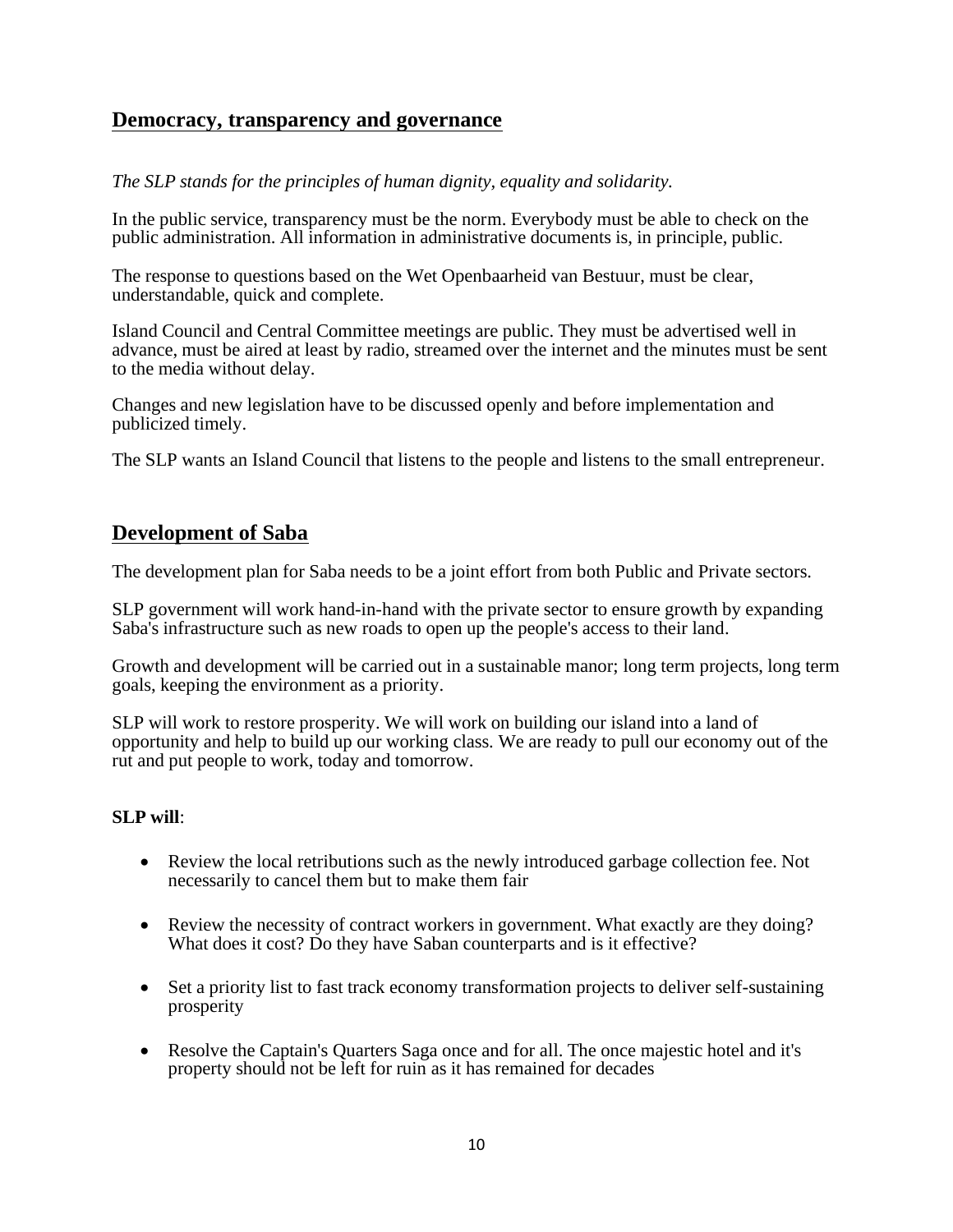#### **Democracy, transparency and governance**

*The SLP stands for the principles of human dignity, equality and solidarity.*

In the public service, transparency must be the norm. Everybody must be able to check on the public administration. All information in administrative documents is, in principle, public.

The response to questions based on the Wet Openbaarheid van Bestuur, must be clear, understandable, quick and complete.

Island Council and Central Committee meetings are public. They must be advertised well in advance, must be aired at least by radio, streamed over the internet and the minutes must be sent to the media without delay.

Changes and new legislation have to be discussed openly and before implementation and publicized timely.

The SLP wants an Island Council that listens to the people and listens to the small entrepreneur.

## **Development of Saba**

The development plan for Saba needs to be a joint effort from both Public and Private sectors.

SLP government will work hand-in-hand with the private sector to ensure growth by expanding Saba's infrastructure such as new roads to open up the people's access to their land.

Growth and development will be carried out in a sustainable manor; long term projects, long term goals, keeping the environment as a priority.

SLP will work to restore prosperity. We will work on building our island into a land of opportunity and help to build up our working class. We are ready to pull our economy out of the rut and put people to work, today and tomorrow.

#### **SLP will**:

- Review the local retributions such as the newly introduced garbage collection fee. Not necessarily to cancel them but to make them fair
- Review the necessity of contract workers in government. What exactly are they doing? What does it cost? Do they have Saban counterparts and is it effective?
- Set a priority list to fast track economy transformation projects to deliver self-sustaining prosperity
- Resolve the Captain's Quarters Saga once and for all. The once majestic hotel and it's property should not be left for ruin as it has remained for decades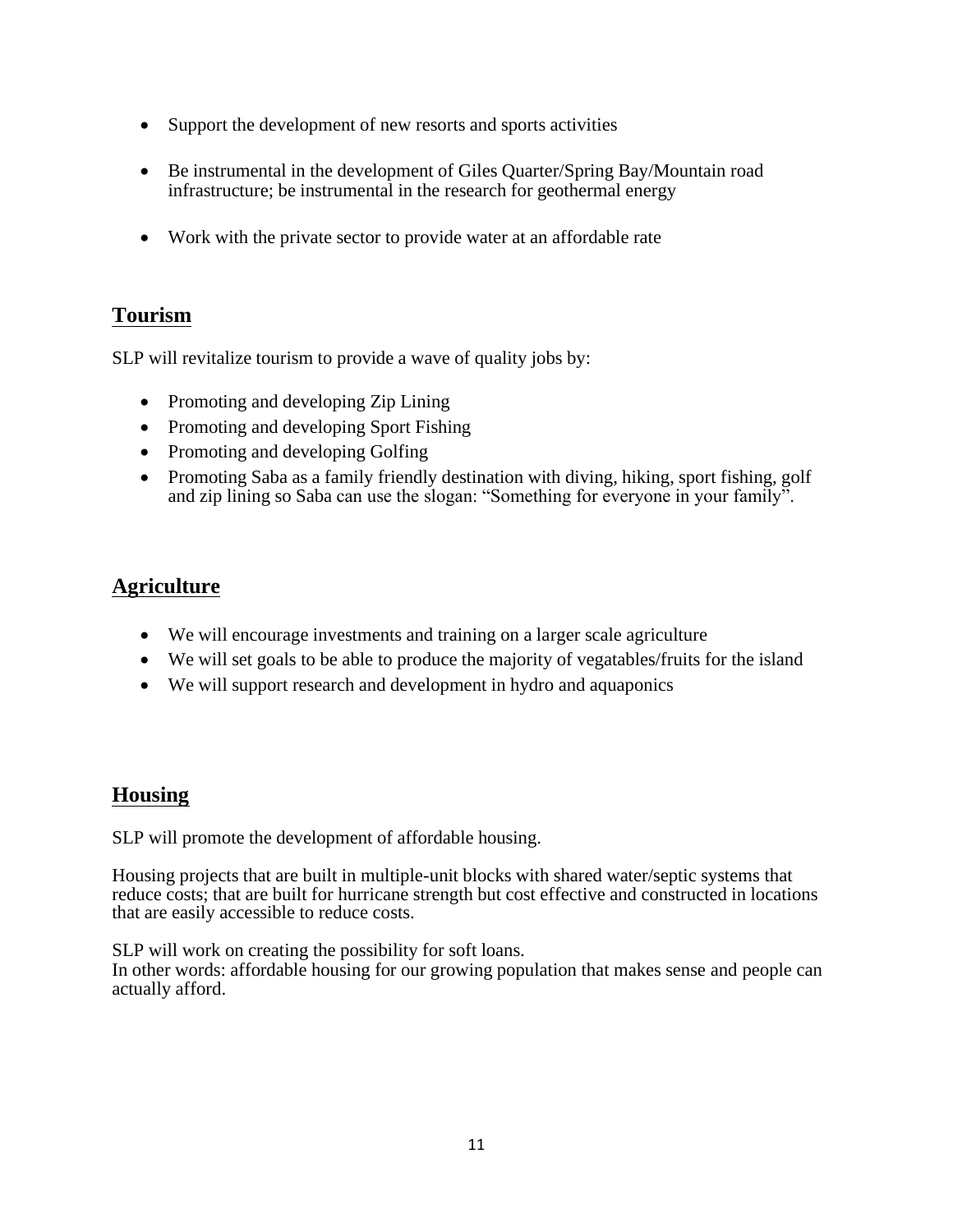- Support the development of new resorts and sports activities
- Be instrumental in the development of Giles Quarter/Spring Bay/Mountain road infrastructure; be instrumental in the research for geothermal energy
- Work with the private sector to provide water at an affordable rate

## **Tourism**

SLP will revitalize tourism to provide a wave of quality jobs by:

- Promoting and developing Zip Lining
- Promoting and developing Sport Fishing
- Promoting and developing Golfing
- Promoting Saba as a family friendly destination with diving, hiking, sport fishing, golf and zip lining so Saba can use the slogan: "Something for everyone in your family".

## **Agriculture**

- We will encourage investments and training on a larger scale agriculture
- We will set goals to be able to produce the majority of vegatables/fruits for the island
- We will support research and development in hydro and aquaponics

## **Housing**

SLP will promote the development of affordable housing.

Housing projects that are built in multiple-unit blocks with shared water/septic systems that reduce costs; that are built for hurricane strength but cost effective and constructed in locations that are easily accessible to reduce costs.

SLP will work on creating the possibility for soft loans. In other words: affordable housing for our growing population that makes sense and people can actually afford.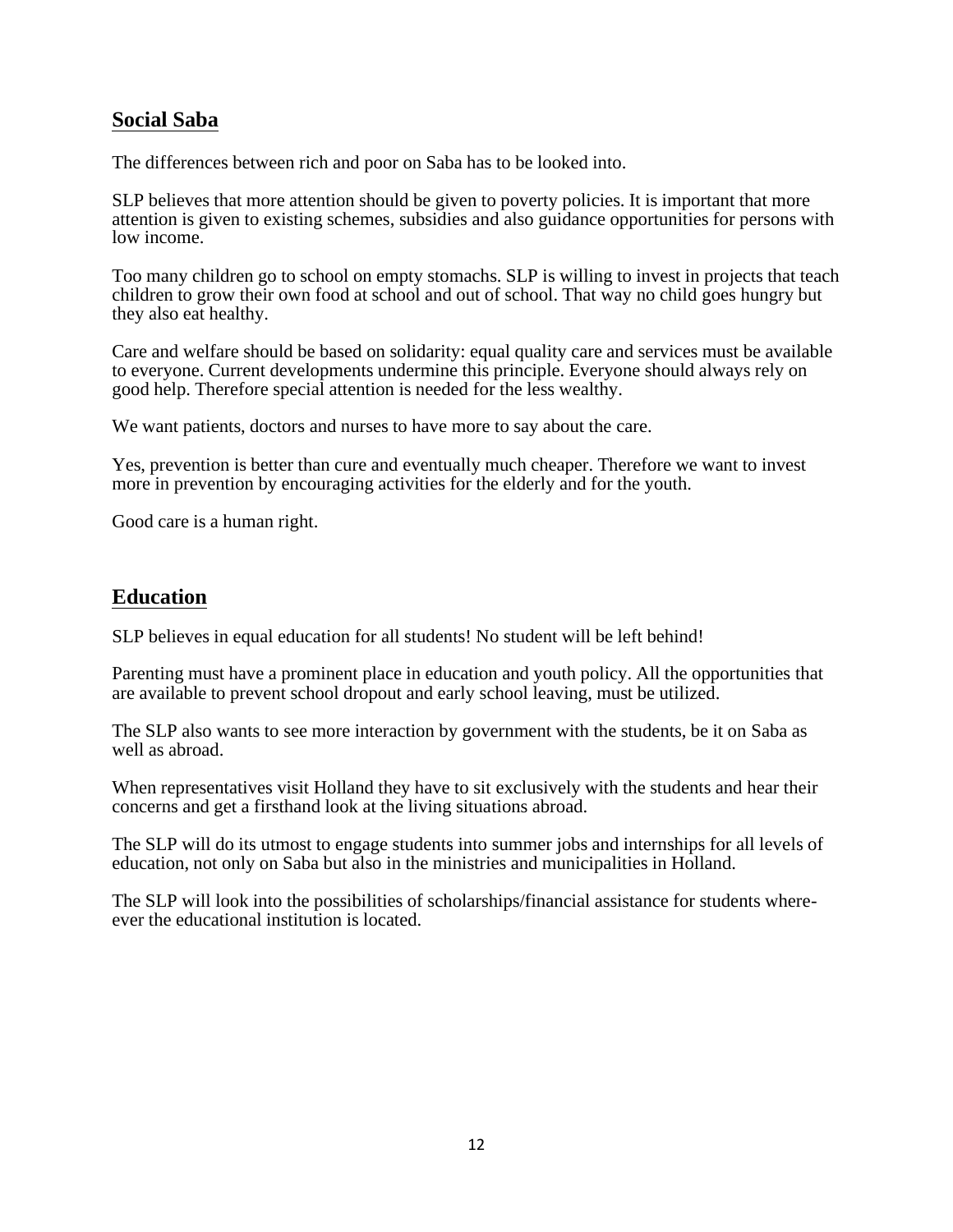#### **Social Saba**

The differences between rich and poor on Saba has to be looked into.

SLP believes that more attention should be given to poverty policies. It is important that more attention is given to existing schemes, subsidies and also guidance opportunities for persons with low income.

Too many children go to school on empty stomachs. SLP is willing to invest in projects that teach children to grow their own food at school and out of school. That way no child goes hungry but they also eat healthy.

Care and welfare should be based on solidarity: equal quality care and services must be available to everyone. Current developments undermine this principle. Everyone should always rely on good help. Therefore special attention is needed for the less wealthy.

We want patients, doctors and nurses to have more to say about the care.

Yes, prevention is better than cure and eventually much cheaper. Therefore we want to invest more in prevention by encouraging activities for the elderly and for the youth.

Good care is a human right.

## **Education**

SLP believes in equal education for all students! No student will be left behind!

Parenting must have a prominent place in education and youth policy. All the opportunities that are available to prevent school dropout and early school leaving, must be utilized.

The SLP also wants to see more interaction by government with the students, be it on Saba as well as abroad.

When representatives visit Holland they have to sit exclusively with the students and hear their concerns and get a firsthand look at the living situations abroad.

The SLP will do its utmost to engage students into summer jobs and internships for all levels of education, not only on Saba but also in the ministries and municipalities in Holland.

The SLP will look into the possibilities of scholarships/financial assistance for students whereever the educational institution is located.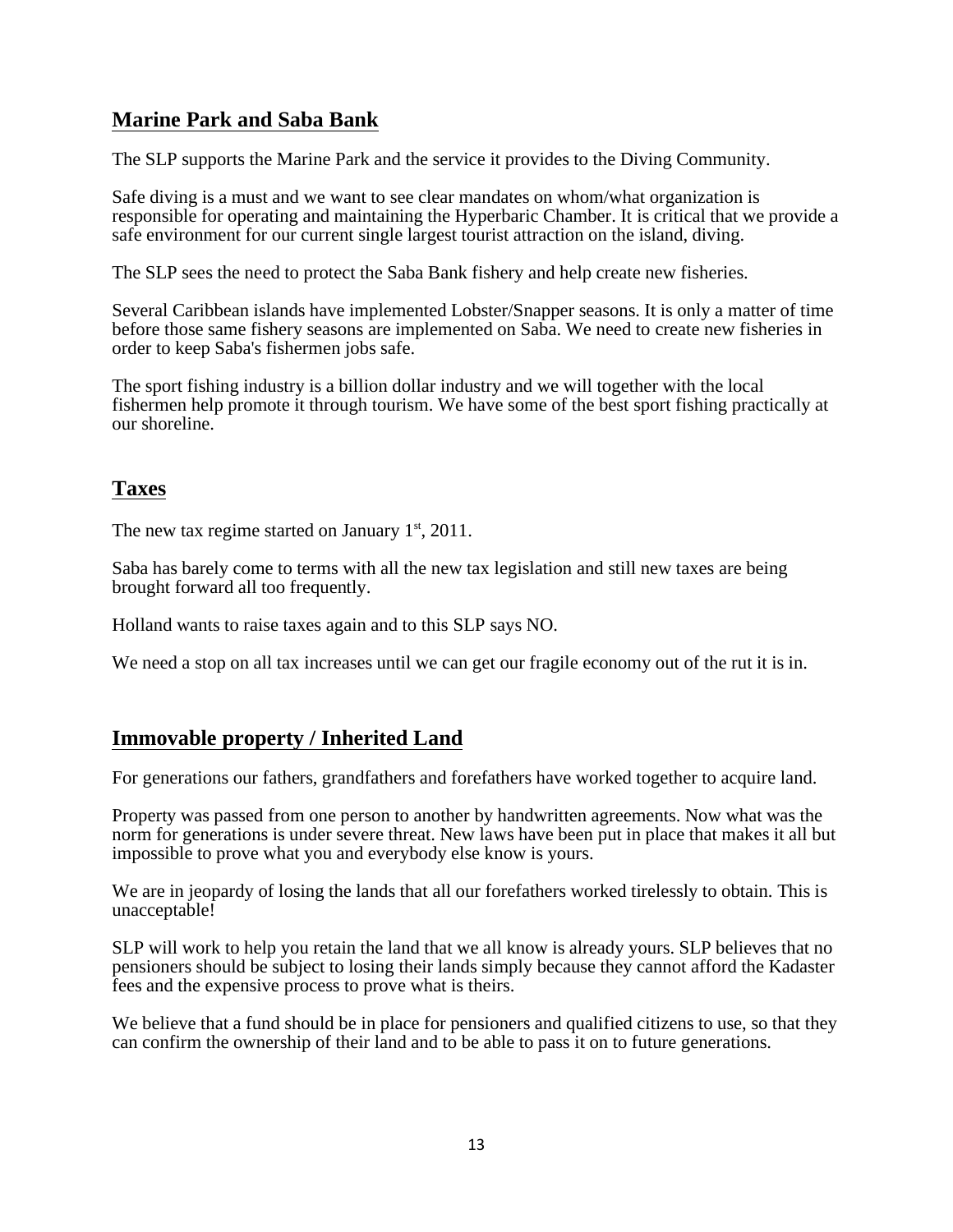## **Marine Park and Saba Bank**

The SLP supports the Marine Park and the service it provides to the Diving Community.

Safe diving is a must and we want to see clear mandates on whom/what organization is responsible for operating and maintaining the Hyperbaric Chamber. It is critical that we provide a safe environment for our current single largest tourist attraction on the island, diving.

The SLP sees the need to protect the Saba Bank fishery and help create new fisheries.

Several Caribbean islands have implemented Lobster/Snapper seasons. It is only a matter of time before those same fishery seasons are implemented on Saba. We need to create new fisheries in order to keep Saba's fishermen jobs safe.

The sport fishing industry is a billion dollar industry and we will together with the local fishermen help promote it through tourism. We have some of the best sport fishing practically at our shoreline.

## **Taxes**

The new tax regime started on January  $1<sup>st</sup>$ , 2011.

Saba has barely come to terms with all the new tax legislation and still new taxes are being brought forward all too frequently.

Holland wants to raise taxes again and to this SLP says NO.

We need a stop on all tax increases until we can get our fragile economy out of the rut it is in.

## **Immovable property / Inherited Land**

For generations our fathers, grandfathers and forefathers have worked together to acquire land.

Property was passed from one person to another by handwritten agreements. Now what was the norm for generations is under severe threat. New laws have been put in place that makes it all but impossible to prove what you and everybody else know is yours.

We are in jeopardy of losing the lands that all our forefathers worked tirelessly to obtain. This is unacceptable!

SLP will work to help you retain the land that we all know is already yours. SLP believes that no pensioners should be subject to losing their lands simply because they cannot afford the Kadaster fees and the expensive process to prove what is theirs.

We believe that a fund should be in place for pensioners and qualified citizens to use, so that they can confirm the ownership of their land and to be able to pass it on to future generations.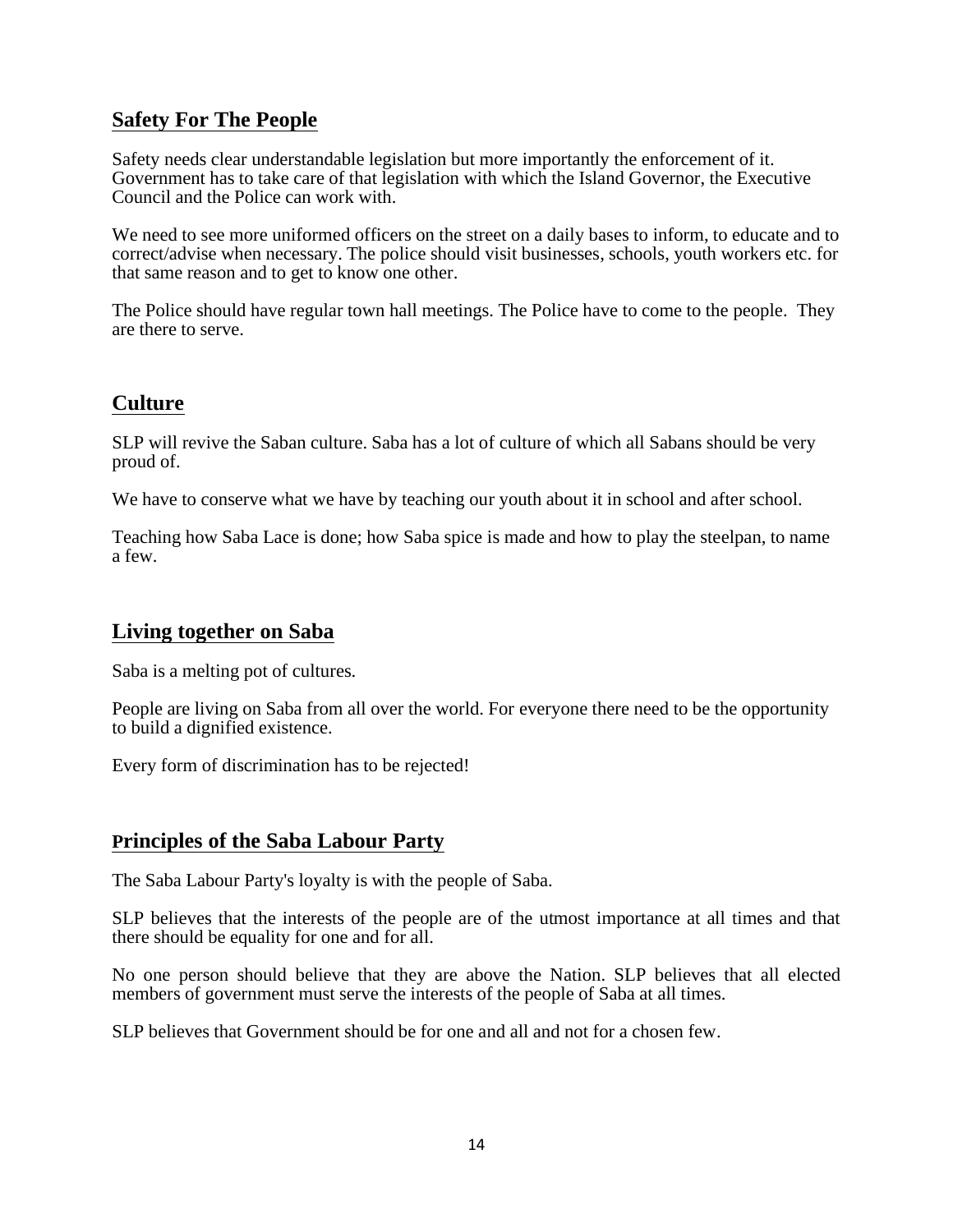## **Safety For The People**

Safety needs clear understandable legislation but more importantly the enforcement of it. Government has to take care of that legislation with which the Island Governor, the Executive Council and the Police can work with.

We need to see more uniformed officers on the street on a daily bases to inform, to educate and to correct/advise when necessary. The police should visit businesses, schools, youth workers etc. for that same reason and to get to know one other.

The Police should have regular town hall meetings. The Police have to come to the people. They are there to serve.

## **Culture**

SLP will revive the Saban culture. Saba has a lot of culture of which all Sabans should be very proud of.

We have to conserve what we have by teaching our youth about it in school and after school.

Teaching how Saba Lace is done; how Saba spice is made and how to play the steelpan, to name a few.

## **Living together on Saba**

Saba is a melting pot of cultures.

People are living on Saba from all over the world. For everyone there need to be the opportunity to build a dignified existence.

Every form of discrimination has to be rejected!

## **Principles of the Saba Labour Party**

The Saba Labour Party's loyalty is with the people of Saba.

SLP believes that the interests of the people are of the utmost importance at all times and that there should be equality for one and for all.

No one person should believe that they are above the Nation. SLP believes that all elected members of government must serve the interests of the people of Saba at all times.

SLP believes that Government should be for one and all and not for a chosen few.